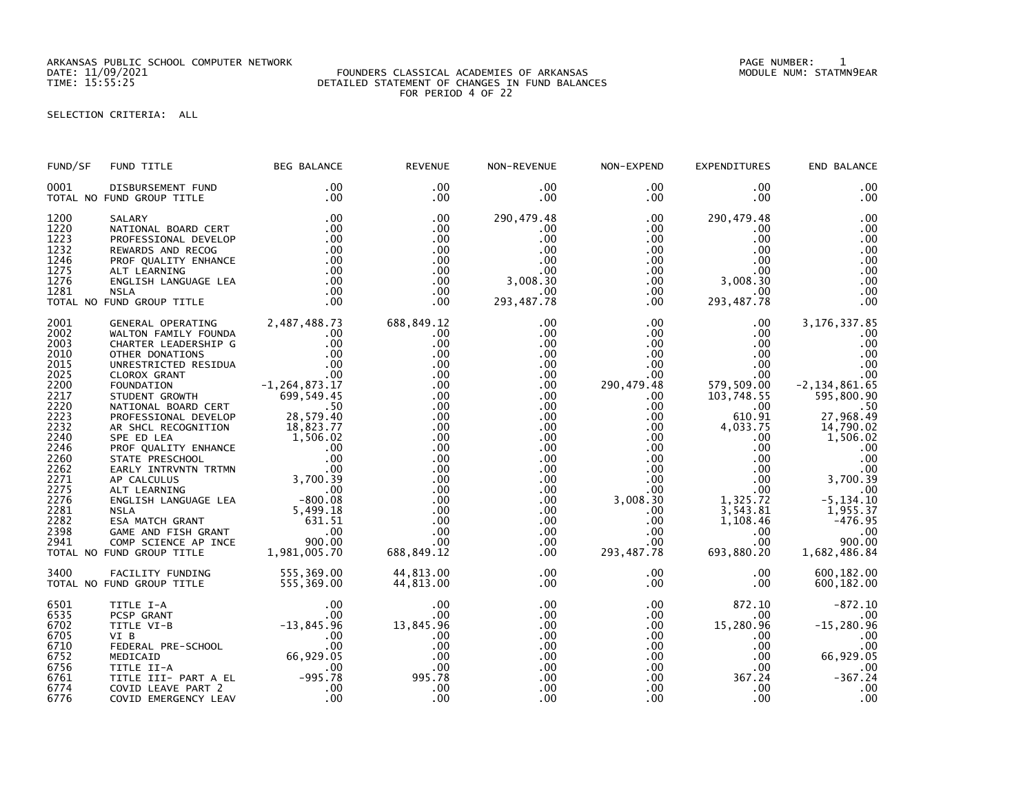ARKANSAS PUBLIC SCHOOL COMPUTER NETWORK PAGE NUMBER: 1

## DATE: 11/09/2021 FOUNDERS CLASSICAL ACADEMIES OF ARKANSAS MODULE NUM: STATMN9EAR TIME: 15:55:25 DETAILED STATEMENT OF CHANGES IN FUND BALANCES FOR PERIOD 4 OF 22

SELECTION CRITERIA: ALL

| FUND/SF                                                                                                                                                                      | FUND TITLE                                                                                                                                                                                                                                                                                                                                                                                                                                                                                                                      | <b>BEG BALANCE</b>                                                          | <b>REVENUE</b>                                                                                                                                                                            | NON-REVENUE                                                                                                                                                                                                                                                                          | NON-EXPEND                                                                                                                                                                                                                                                                    | <b>EXPENDITURES</b>                                                                                                                                                                                                                                                         | END BALANCE                                                                                                                                                                                                                                                  |
|------------------------------------------------------------------------------------------------------------------------------------------------------------------------------|---------------------------------------------------------------------------------------------------------------------------------------------------------------------------------------------------------------------------------------------------------------------------------------------------------------------------------------------------------------------------------------------------------------------------------------------------------------------------------------------------------------------------------|-----------------------------------------------------------------------------|-------------------------------------------------------------------------------------------------------------------------------------------------------------------------------------------|--------------------------------------------------------------------------------------------------------------------------------------------------------------------------------------------------------------------------------------------------------------------------------------|-------------------------------------------------------------------------------------------------------------------------------------------------------------------------------------------------------------------------------------------------------------------------------|-----------------------------------------------------------------------------------------------------------------------------------------------------------------------------------------------------------------------------------------------------------------------------|--------------------------------------------------------------------------------------------------------------------------------------------------------------------------------------------------------------------------------------------------------------|
| 0001                                                                                                                                                                         | DISBURSEMENT FUND<br>TOTAL NO FUND GROUP TITLE                                                                                                                                                                                                                                                                                                                                                                                                                                                                                  | .00<br>.00                                                                  | .00<br>$.00 \,$                                                                                                                                                                           | $.00 \,$<br>$.00 \,$                                                                                                                                                                                                                                                                 | $.00 \,$<br>$.00 \,$                                                                                                                                                                                                                                                          | .00<br>.00                                                                                                                                                                                                                                                                  | $.00 \,$<br>$.00 \times$                                                                                                                                                                                                                                     |
| 1200<br>1220<br>1223<br>1232<br>1246<br>1275<br>1276<br>1281                                                                                                                 | SALARY<br>NATIONAL BOARD CERT<br>PROFESSIONAL DEVELOP<br>REWARDS AND RECOG<br>PROF QUALITY ENHANCE<br>ALT LEARNING<br>ENGLISH LANGUAGE LEA<br><b>NSLA</b><br>TOTAL NO FUND GROUP TITLE                                                                                                                                                                                                                                                                                                                                          | .00<br>.00<br>.00<br>$\frac{100}{100}$ .<br>00.<br>00.<br>.00<br>.00<br>.00 | .00<br>.00<br>.00<br>.00<br>.00<br>.00<br>$.00 \,$<br>.00<br>.00                                                                                                                          | 290, 479.48<br>$.00 \,$<br>$.00 \,$<br>.00 <sub>1</sub><br>$.00 \,$<br>$.00 \,$<br>3,008.30<br>$.00 \,$<br>293, 487.78                                                                                                                                                               | $.00 \,$<br>$.00 \,$<br>$.00 \,$<br>$.00 \,$<br>$.00 \,$<br>$.00 \,$<br>$.00 \,$<br>$.00 \,$<br>$.00 \,$                                                                                                                                                                      | 290,479.48<br>$.00 \,$<br>.00<br>.00<br>.00<br>.00<br>3,008.30<br>.00<br>293, 487.78                                                                                                                                                                                        | .00<br>.00<br>.00<br>.00<br>.00<br>.00<br>.00<br>$.00 \,$<br>.00                                                                                                                                                                                             |
| 2001<br>2002<br>2003<br>2010<br>2015<br>2025<br>2200<br>2217<br>2220<br>2223<br>2232<br>2240<br>2246<br>2260<br>2262<br>2271<br>2275<br>2276<br>2281<br>2282<br>2398<br>2941 | GENERAL OPERATING 2,487,488.73<br>WALTON FAMILY FOUNDA<br>WALTON FAMILY FOUNDA<br>CHARTER LEADERSHIP G .00<br>OTHER DONATIONS .00<br>UNRESTRICTED RESIDUA .00<br>CLOROX GRANT .00<br>FOUNDATION .00<br>TOUNDATION .00<br>-1,264,873.17<br>FOUNDATION<br>FOUNDATION<br>STUDENT GROWTH<br>NATIONAL BOARD CERT<br>PROFESSIONAL DEVELOP<br>AR SHCL RECOGNITION<br>AR SHCL RECOGNITION<br>STATE PRESCHOOL<br>STATE PRESCHOOL<br>STATE PRESCHOOL<br>STATE PRESCHOOL<br>AR CALCULUS<br>ALT LEARNING<br>AP<br>TOTAL NO FUND GROUP TITLE | .00                                                                         | 688,849.12<br>$.00 \times$<br>.00<br>.00<br>.00<br>$.00 \,$<br>.00<br>.00<br>.00<br>.00<br>.00<br>.00<br>.00<br>.00<br>.00<br>.00<br>.00<br>.00<br>.00<br>.00<br>.00<br>.00<br>688,849.12 | $.00 \,$<br>.00<br>.00<br>$.00 \,$<br>$.00 \,$<br>.00<br>$.00 \,$<br>.00 <sub>1</sub><br>$.00 \,$<br>$.00 \,$<br>$.00 \,$<br>.00 <sub>1</sub><br>$.00 \,$<br>$.00 \,$<br>.00 <sub>1</sub><br>$.00 \,$<br>$.00 \,$<br>.00<br>$.00 \,$<br>$.00 \,$<br>$.00 \,$<br>$.00 \,$<br>$.00 \,$ | $.00 \,$<br>$.00 \cdot$<br>$.00 \,$<br>$.00 \,$<br>$.00 \,$<br>.00<br>290,479.48<br>$.00 \,$<br>$.00 \,$<br>$.00 \,$<br>.00<br>$.00 \,$<br>$.00 \,$<br>$.00 \,$<br>$.00 \,$<br>$.00 \,$<br>$.00 \,$<br>3,008.30<br>$.00 \,$<br>$.00 \,$<br>$.00 \,$<br>$.00 \,$<br>293,487.78 | $.00 \cdot$<br>$.00 \cdot$<br>$.00 \,$<br>$.00 \,$<br>$.00 \,$<br>.00<br>579,509.00<br>103,748.55<br>.00<br>610.91<br>4,033.75<br>$.00 \,$<br>$.00 \,$<br>$.00 \,$<br>$.00 \,$<br>.00<br>$.00 \,$<br>1,325.72<br>3,543.81<br>1,108.46<br>$.00 \,$<br>$.00 \,$<br>693,880.20 | 3, 176, 337.85<br>$.00 \times$<br>.00<br>.00<br>.00<br>.00<br>$-2, 134, 861.65$<br>595,800.90<br>.50<br>27,968.49<br>14,790.02<br>1,506.02<br>.00<br>.00<br>.00<br>3,700.39<br>.00<br>$-5, 134.10$<br>1,955.37<br>$-476.95$<br>.00<br>900.00<br>1,682,486.84 |
| 3400                                                                                                                                                                         | FACILITY FUNDING<br>TOTAL NO FUND GROUP TITLE                                                                                                                                                                                                                                                                                                                                                                                                                                                                                   | 555,369.00<br>555,369.00                                                    | 44,813.00<br>44,813.00                                                                                                                                                                    | .00<br>$.00 \,$                                                                                                                                                                                                                                                                      | $.00 \,$<br>$.00 \,$                                                                                                                                                                                                                                                          | $.00 \,$<br>$.00 \,$                                                                                                                                                                                                                                                        | 600,182.00<br>600,182.00                                                                                                                                                                                                                                     |
| 6501<br>6535<br>6702<br>6705<br>6710<br>6752<br>6756<br>6761<br>6774<br>6776                                                                                                 |                                                                                                                                                                                                                                                                                                                                                                                                                                                                                                                                 |                                                                             | .00<br>.00<br>13,845.96<br>.00<br>.00<br>.00<br>.00<br>995.78<br>.00<br>.00                                                                                                               | $.00 \,$<br>$.00 \,$<br>$.00 \,$<br>$.00 \,$<br>$.00 \,$<br>$.00 \,$<br>$.00 \,$<br>$.00 \,$<br>$.00 \,$<br>$.00 \,$                                                                                                                                                                 | $.00 \,$<br>.00<br>$.00 \,$<br>$.00 \,$<br>$.00 \,$<br>$.00 \,$<br>$.00 \,$<br>$.00 \,$<br>$.00 \,$<br>$.00 \,$                                                                                                                                                               | 872.10<br>$.00 \cdot$<br>15,280.96<br>$.00 \,$<br>.00<br>$.00 \,$<br>$.00 \,$<br>367.24<br>.00<br>.00                                                                                                                                                                       | $-872.10$<br>.00<br>$-15,280.96$<br>.00<br>.00<br>66,929.05<br>.00<br>$-367.24$<br>.00<br>.00                                                                                                                                                                |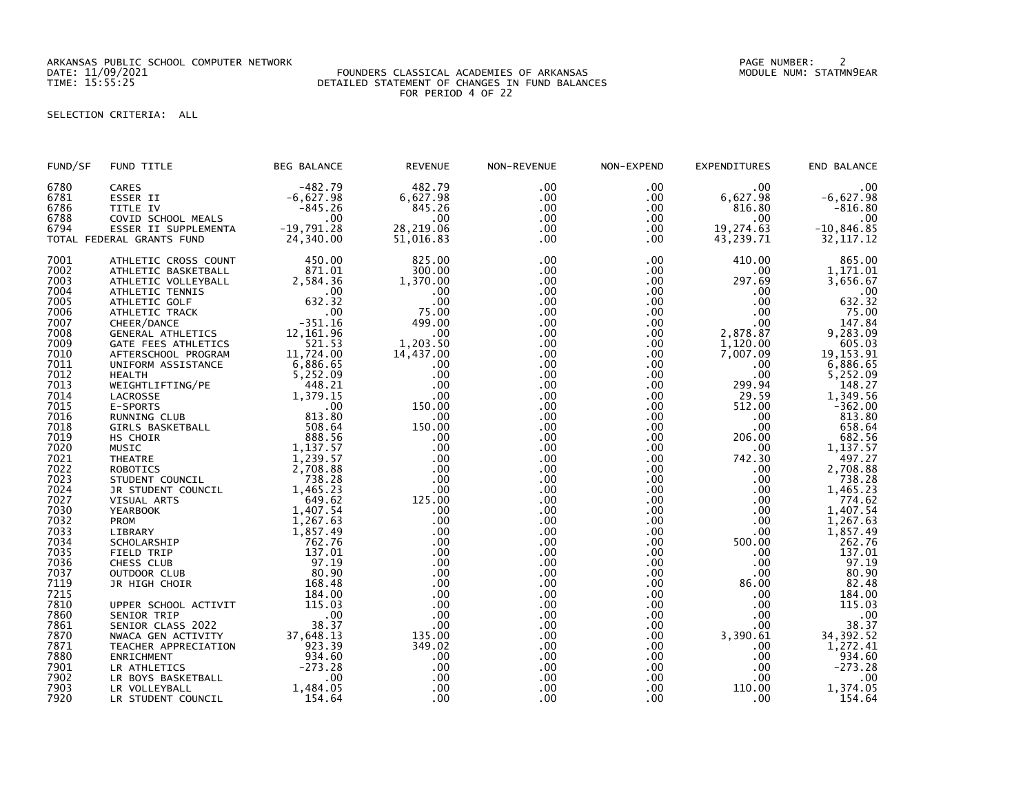ARKANSAS PUBLIC SCHOOL COMPUTER NETWORK PAGE NUMBER: 2

## DATE: 11/09/2021 FOUNDERS CLASSICAL ACADEMIES OF ARKANSAS MODULE NUM: STATMN9EAR TIME: 15:55:25 DETAILED STATEMENT OF CHANGES IN FUND BALANCES FOR PERIOD 4 OF 22

SELECTION CRITERIA: ALL

| FUND/SF | FUND TITLE                | <b>BEG BALANCE</b> | <b>REVENUE</b> | NON-REVENUE      | NON-EXPEND       | <b>EXPENDITURES</b> | END BALANCE   |
|---------|---------------------------|--------------------|----------------|------------------|------------------|---------------------|---------------|
| 6780    | CARES                     | $-482.79$          | 482.79         | .00              | .00              | .00                 | .00           |
| 6781    | ESSER II                  | $-6,627.98$        | 6,627.98       | .00              | $.00 \,$         | 6,627.98            | $-6,627.98$   |
| 6786    | TITLE IV                  | $-845.26$          | 845.26         | .00              | $.00 \,$         | 816.80              | $-816.80$     |
| 6788    | COVID SCHOOL MEALS        | .00                | .00            | $.00 \,$         | .00              | .00                 | .00           |
| 6794    | ESSER II SUPPLEMENTA      | $-19,791.28$       | 28,219.06      | .00              | .00              | 19,274.63           | $-10, 846.85$ |
|         | TOTAL FEDERAL GRANTS FUND | 24,340.00          | 51,016.83      | .00              | $.00 \,$         | 43,239.71           | 32, 117. 12   |
| 7001    | ATHLETIC CROSS COUNT      | 450.00             | 825.00         | .00              | $.00 \,$         | 410.00              | 865.00        |
| 7002    | ATHLETIC BASKETBALL       | 871.01             | 300.00         | .00              | .00              | .00                 | 1,171.01      |
| 7003    | ATHLETIC VOLLEYBALL       | 2,584.36           | 1,370.00       | .00              | $.00 \,$         | 297.69              | 3,656.67      |
| 7004    | ATHLETIC TENNIS           | .00                | .00            | .00              | .00              | $.00 \,$            | .00           |
| 7005    | ATHLETIC GOLF             | 632.32             | .00            | .00.             | .00              | .00.                | 632.32        |
| 7006    | ATHLETIC TRACK            | .00                | 75.00          | .00              | $.00 \,$         | .00                 | 75.00         |
| 7007    | CHEER/DANCE               | $-351.16$          | 499.00         | .00              | .00              | .00                 | 147.84        |
| 7008    | <b>GENERAL ATHLETICS</b>  | 12, 161.96         | .00            | .00              | $.00 \,$         | 2,878.87            | 9,283.09      |
| 7009    | GATE FEES ATHLETICS       | 521.53             | 1,203.50       | .00              | .00              | 1,120.00            | 605.03        |
| 7010    | AFTERSCHOOL PROGRAM       | 11,724.00          | 14,437.00      | .00              | $.00 \,$         | 7,007.09            | 19, 153. 91   |
| 7011    | UNIFORM ASSISTANCE        | 6,886.65           | .00            | .00              | $.00 \,$         | .00                 | 6,886.65      |
| 7012    | <b>HEALTH</b>             | 5,252.09           | .00            | .00              | .00              | .00                 | 5,252.09      |
| 7013    | WEIGHTLIFTING/PE          | 448.21             | .00            | .00              | .00              | 299.94              | 148.27        |
| 7014    | LACROSSE                  | 1,379.15           | .00            | .00              | .00              | 29.59               | 1,349.56      |
| 7015    | E-SPORTS                  | .00                | 150.00         | .00              | $.00 \,$         | 512.00              | $-362.00$     |
| 7016    | RUNNING CLUB              | 813.80             | .00            | .00              | $.00 \,$         | .00                 | 813.80        |
| 7018    | <b>GIRLS BASKETBALL</b>   | 508.64             | 150.00         | .00              | $.00 \,$         | .00                 | 658.64        |
| 7019    | HS CHOIR                  | 888.56             | .00            | .00              | .00              | 206.00              | 682.56        |
| 7020    | MUSIC                     | 1,137.57           | .00            | .00              | .00              | .00                 | 1,137.57      |
| 7021    | <b>THEATRE</b>            | 1,239.57           | .00            | .00              | $.00 \,$         | 742.30              | 497.27        |
| 7022    | <b>ROBOTICS</b>           | 2,708.88           | .00            | .00 <sub>1</sub> | .00              | .00                 | 2,708.88      |
| 7023    | STUDENT COUNCIL           | 738.28             | .00            | .00              | .00              | $.00 \,$            | 738.28        |
| 7024    | JR STUDENT COUNCIL        | 1,465.23           | .00            | .00              | $.00 \,$         | .00                 | 1,465.23      |
| 7027    | VISUAL ARTS               | 649.62             | 125.00         | .00              | $.00 \,$         | .00                 | 774.62        |
| 7030    | <b>YEARBOOK</b>           | 1,407.54           | .00            | .00              | $.00 \,$         | $.00 \,$            | 1,407.54      |
| 7032    | <b>PROM</b>               | 1,267.63           | .00            | .00              | $.00 \,$         | $.00 \,$            | 1,267.63      |
| 7033    | LIBRARY                   | 1,857.49           | .00            | .00              | .00              | .00                 | 1,857.49      |
| 7034    | SCHOLARSHIP               | 762.76             | .00            | .00              | .00              | 500.00              | 262.76        |
| 7035    | FIELD TRIP                | 137.01             | .00            | .00              | .00 <sub>1</sub> | .00                 | 137.01        |
| 7036    | CHESS CLUB                | 97.19              | .00            | .00              | .00              | .00                 | 97.19         |
| 7037    | OUTDOOR CLUB              | 80.90              | .00            | .00              | .00              | $.00 \,$            | 80.90         |
| 7119    | JR HIGH CHOIR             | 168.48             | .00            | .00              | .00              | 86.00               | 82.48         |
| 7215    |                           | 184.00             | .00            | .00              | $.00 \,$         | .00                 | 184.00        |
| 7810    | UPPER SCHOOL ACTIVIT      | 115.03             | .00            | .00              | .00              | .00                 | 115.03        |
| 7860    | SENIOR TRIP               | .00                | .00            | .00              | .00              | .00                 | .00           |
| 7861    | SENIOR CLASS 2022         | 38.37              | .00            | .00              | .00              | .00                 | 38.37         |
| 7870    | NWACA GEN ACTIVITY        | 37,648.13          | 135.00         | .00              | .00              | 3,390.61            | 34, 392.52    |
| 7871    | TEACHER APPRECIATION      | 923.39             | 349.02         | .00              | $.00 \,$         | .00.                | 1,272.41      |
| 7880    | ENRICHMENT                | 934.60             | .00            | .00              | .00              | $.00 \,$            | 934.60        |
| 7901    | LR ATHLETICS              | $-273.28$          | .00            | .00              | .00              | .00                 | $-273.28$     |
| 7902    | LR BOYS BASKETBALL        | .00                | $.00 \,$       | .00              | .00              | .00                 | .00           |
| 7903    | LR VOLLEYBALL             | 1,484.05           | .00            | .00              | $.00 \,$         | 110.00              | 1,374.05      |
| 7920    | LR STUDENT COUNCIL        | 154.64             | .00            | .00              | .00              | .00                 | 154.64        |